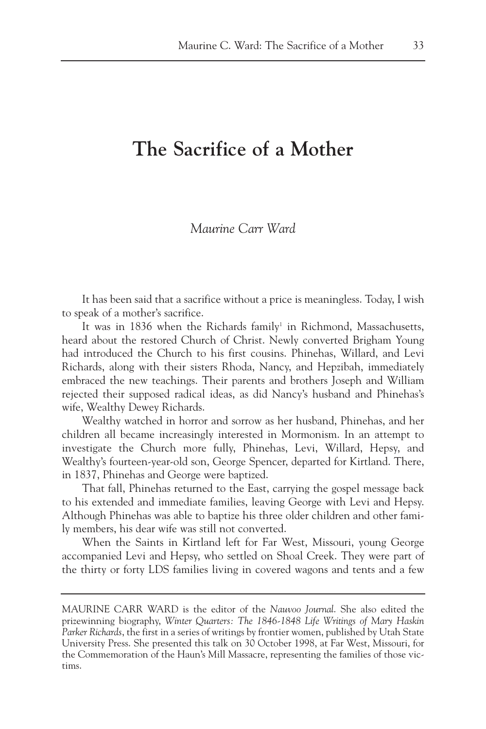## **The Sacrifice of a Mother**

## *Maurine Carr Ward*

It has been said that a sacrifice without a price is meaningless. Today, I wish to speak of a mother's sacrifice.

It was in 1836 when the Richards family<sup>1</sup> in Richmond, Massachusetts, heard about the restored Church of Christ. Newly converted Brigham Young had introduced the Church to his first cousins. Phinehas, Willard, and Levi Richards, along with their sisters Rhoda, Nancy, and Hepzibah, immediately embraced the new teachings. Their parents and brothers Joseph and William rejected their supposed radical ideas, as did Nancy's husband and Phinehas's wife, Wealthy Dewey Richards.

Wealthy watched in horror and sorrow as her husband, Phinehas, and her children all became increasingly interested in Mormonism. In an attempt to investigate the Church more fully, Phinehas, Levi, Willard, Hepsy, and Wealthy's fourteen-year-old son, George Spencer, departed for Kirtland. There, in 1837, Phinehas and George were baptized.

That fall, Phinehas returned to the East, carrying the gospel message back to his extended and immediate families, leaving George with Levi and Hepsy. Although Phinehas was able to baptize his three older children and other family members, his dear wife was still not converted.

When the Saints in Kirtland left for Far West, Missouri, young George accompanied Levi and Hepsy, who settled on Shoal Creek. They were part of the thirty or forty LDS families living in covered wagons and tents and a few

MAURINE CARR WARD is the editor of the *Nauvoo Journal*. She also edited the prizewinning biography, *Winter Quarters: The 1846-1848 Life Writings of Mary Haskin Parker Richards*, the first in a series of writings by frontier women, published by Utah State University Press. She presented this talk on 30 October 1998, at Far West, Missouri, for the Commemoration of the Haun's Mill Massacre, representing the families of those victims.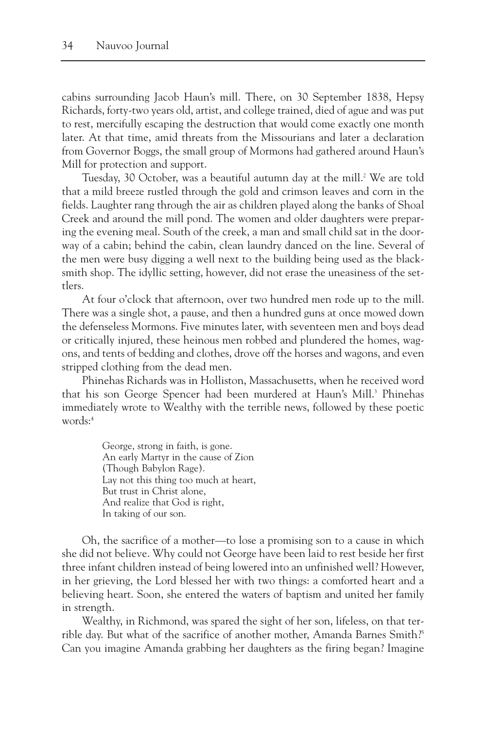cabins surrounding Jacob Haun's mill. There, on 30 September 1838, Hepsy Richards, forty-two years old, artist, and college trained, died of ague and was put to rest, mercifully escaping the destruction that would come exactly one month later. At that time, amid threats from the Missourians and later a declaration from Governor Boggs, the small group of Mormons had gathered around Haun's Mill for protection and support.

Tuesday, 30 October, was a beautiful autumn day at the mill.<sup>2</sup> We are told that a mild breeze rustled through the gold and crimson leaves and corn in the fields. Laughter rang through the air as children played along the banks of Shoal Creek and around the mill pond. The women and older daughters were preparing the evening meal. South of the creek, a man and small child sat in the doorway of a cabin; behind the cabin, clean laundry danced on the line. Several of the men were busy digging a well next to the building being used as the blacksmith shop. The idyllic setting, however, did not erase the uneasiness of the settlers.

At four o'clock that afternoon, over two hundred men rode up to the mill. There was a single shot, a pause, and then a hundred guns at once mowed down the defenseless Mormons. Five minutes later, with seventeen men and boys dead or critically injured, these heinous men robbed and plundered the homes, wagons, and tents of bedding and clothes, drove off the horses and wagons, and even stripped clothing from the dead men.

Phinehas Richards was in Holliston, Massachusetts, when he received word that his son George Spencer had been murdered at Haun's Mill.<sup>3</sup> Phinehas immediately wrote to Wealthy with the terrible news, followed by these poetic words:4

> George, strong in faith, is gone. An early Martyr in the cause of Zion (Though Babylon Rage). Lay not this thing too much at heart, But trust in Christ alone, And realize that God is right, In taking of our son.

Oh, the sacrifice of a mother—to lose a promising son to a cause in which she did not believe. Why could not George have been laid to rest beside her first three infant children instead of being lowered into an unfinished well? However, in her grieving, the Lord blessed her with two things: a comforted heart and a believing heart. Soon, she entered the waters of baptism and united her family in strength.

Wealthy, in Richmond, was spared the sight of her son, lifeless, on that terrible day. But what of the sacrifice of another mother, Amanda Barnes Smith?<sup>5</sup> Can you imagine Amanda grabbing her daughters as the firing began? Imagine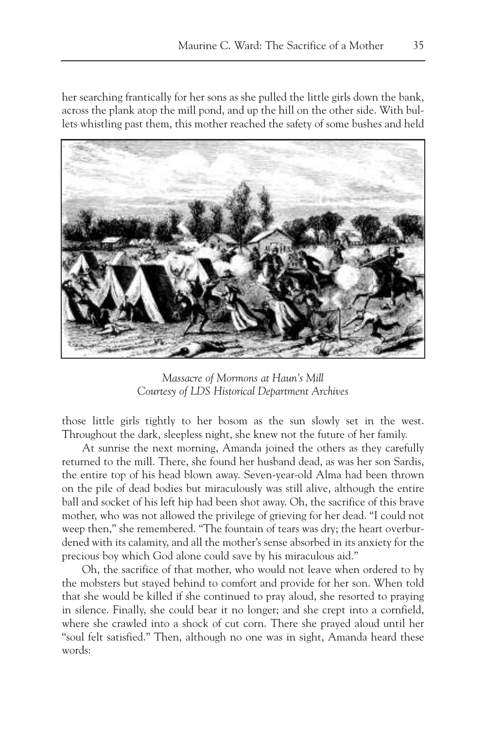her searching frantically for her sons as she pulled the little girls down the bank, across the plank atop the mill pond, and up the hill on the other side. With bullets whistling past them, this mother reached the safety of some bushes and held



*Massacre of Mormons at Haun's Mill Courtesy of LDS Historical Department Archives*

those little girls tightly to her bosom as the sun slowly set in the west. Throughout the dark, sleepless night, she knew not the future of her family.

At sunrise the next morning, Amanda joined the others as they carefully returned to the mill. There, she found her husband dead, as was her son Sardis, the entire top of his head blown away. Seven-year-old Alma had been thrown on the pile of dead bodies but miraculously was still alive, although the entire ball and socket of his left hip had been shot away. Oh, the sacrifice of this brave mother, who was not allowed the privilege of grieving for her dead. "I could not weep then," she remembered. "The fountain of tears was dry; the heart overburdened with its calamity, and all the mother's sense absorbed in its anxiety for the precious boy which God alone could save by his miraculous aid."

Oh, the sacrifice of that mother, who would not leave when ordered to by the mobsters but stayed behind to comfort and provide for her son. When told that she would be killed if she continued to pray aloud, she resorted to praying in silence. Finally, she could bear it no longer; and she crept into a cornfield, where she crawled into a shock of cut corn. There she prayed aloud until her "soul felt satisfied." Then, although no one was in sight, Amanda heard these words: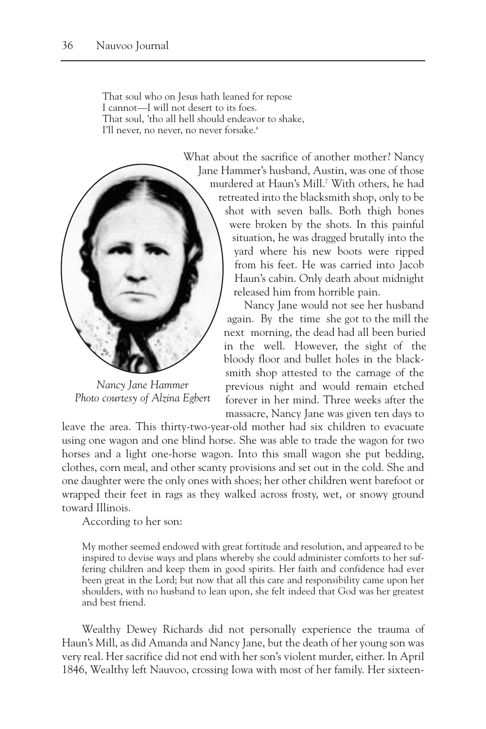That soul who on Jesus hath leaned for repose I cannot—I will not desert to its foes. That soul, 'tho all hell should endeavor to shake, I'll never, no never, no never forsake.<sup>6</sup>



*Nancy Jane Hammer Photo courtesy of Alzina Egbert*

What about the sacrifice of another mother? Nancy Jane Hammer's husband, Austin, was one of those murdered at Haun's Mill.7 With others, he had retreated into the blacksmith shop, only to be shot with seven balls. Both thigh bones were broken by the shots. In this painful situation, he was dragged brutally into the yard where his new boots were ripped from his feet. He was carried into Jacob Haun's cabin. Only death about midnight released him from horrible pain.

> Nancy Jane would not see her husband again. By the time she got to the mill the next morning, the dead had all been buried in the well. However, the sight of the bloody floor and bullet holes in the blacksmith shop attested to the carnage of the previous night and would remain etched forever in her mind. Three weeks after the massacre, Nancy Jane was given ten days to

leave the area. This thirty-two-year-old mother had six children to evacuate using one wagon and one blind horse. She was able to trade the wagon for two horses and a light one-horse wagon. Into this small wagon she put bedding, clothes, corn meal, and other scanty provisions and set out in the cold. She and one daughter were the only ones with shoes; her other children went barefoot or wrapped their feet in rags as they walked across frosty, wet, or snowy ground toward Illinois.

According to her son:

My mother seemed endowed with great fortitude and resolution, and appeared to be inspired to devise ways and plans whereby she could administer comforts to her suffering children and keep them in good spirits. Her faith and confidence had ever been great in the Lord; but now that all this care and responsibility came upon her shoulders, with no husband to lean upon, she felt indeed that God was her greatest and best friend.

Wealthy Dewey Richards did not personally experience the trauma of Haun's Mill, as did Amanda and Nancy Jane, but the death of her young son was very real. Her sacrifice did not end with her son's violent murder, either. In April 1846, Wealthy left Nauvoo, crossing Iowa with most of her family. Her sixteen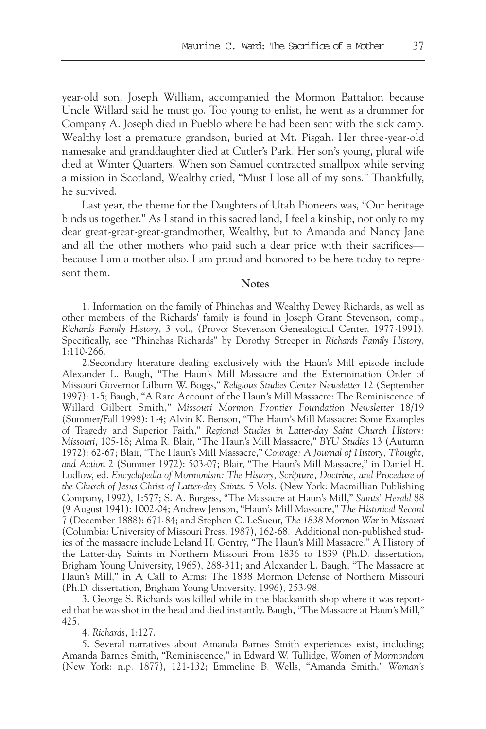year-old son, Joseph William, accompanied the Mormon Battalion because Uncle Willard said he must go. Too young to enlist, he went as a drummer for Company A. Joseph died in Pueblo where he had been sent with the sick camp. Wealthy lost a premature grandson, buried at Mt. Pisgah. Her three-year-old namesake and granddaughter died at Cutler's Park. Her son's young, plural wife died at Winter Quarters. When son Samuel contracted smallpox while serving a mission in Scotland, Wealthy cried, "Must I lose all of my sons." Thankfully, he survived.

Last year, the theme for the Daughters of Utah Pioneers was, "Our heritage binds us together." As I stand in this sacred land, I feel a kinship, not only to my dear great-great-great-grandmother, Wealthy, but to Amanda and Nancy Jane and all the other mothers who paid such a dear price with their sacrifices because I am a mother also. I am proud and honored to be here today to represent them.

**Notes**

1. Information on the family of Phinehas and Wealthy Dewey Richards, as well as other members of the Richards' family is found in Joseph Grant Stevenson, comp., *Richards Family History*, 3 vol., (Provo: Stevenson Genealogical Center, 1977-1991). Specifically, see "Phinehas Richards" by Dorothy Streeper in *Richards Family History*, 1:110-266.

2.Secondary literature dealing exclusively with the Haun's Mill episode include Alexander L. Baugh, "The Haun's Mill Massacre and the Extermination Order of Missouri Governor Lilburn W. Boggs," *Religious Studies Center Newsletter* 12 (September 1997): 1-5; Baugh, "A Rare Account of the Haun's Mill Massacre: The Reminiscence of Willard Gilbert Smith," *Missouri Mormon Frontier Foundation Newsletter* 18/19 (Summer/Fall 1998): 1-4; Alvin K. Benson, "The Haun's Mill Massacre: Some Examples of Tragedy and Superior Faith," *Regional Studies in Latter-day Saint Church History: Missouri*, 105-18; Alma R. Blair, "The Haun's Mill Massacre," *BYU Studies* 13 (Autumn 1972): 62-67; Blair, "The Haun's Mill Massacre," *Courage: A Journal of History, Thought, and Action* 2 (Summer 1972): 503-07; Blair, "The Haun's Mill Massacre," in Daniel H. Ludlow, ed. *Encyclopedia of Mormonism: The History, Scripture, Doctrine, and Procedure of the Church of Jesus Christ of Latter-day Saints*. 5 Vols. (New York: Macmillian Publishing Company, 1992), 1:577; S. A. Burgess, "The Massacre at Haun's Mill," *Saints' Herald* 88 (9 August 1941): 1002-04; Andrew Jenson, "Haun's Mill Massacre," *The Historical Record* 7 (December 1888): 671-84; and Stephen C. LeSueur, *The 1838 Mormon War in Missouri* (Columbia: University of Missouri Press, 1987), 162-68. Additional non-published studies of the massacre include Leland H. Gentry, "The Haun's Mill Massacre," A History of the Latter-day Saints in Northern Missouri From 1836 to 1839 (Ph.D. dissertation, Brigham Young University, 1965), 288-311; and Alexander L. Baugh, "The Massacre at Haun's Mill," in A Call to Arms: The 1838 Mormon Defense of Northern Missouri (Ph.D. dissertation, Brigham Young University, 1996), 253-98.

3. George S. Richards was killed while in the blacksmith shop where it was reported that he was shot in the head and died instantly. Baugh, "The Massacre at Haun's Mill," 425.

4. *Richards*, 1:127.

5. Several narratives about Amanda Barnes Smith experiences exist, including; Amanda Barnes Smith, "Reminiscence," in Edward W. Tullidge, *Women of Mormondom* (New York: n.p. 1877), 121-132; Emmeline B. Wells, "Amanda Smith," *Woman's*